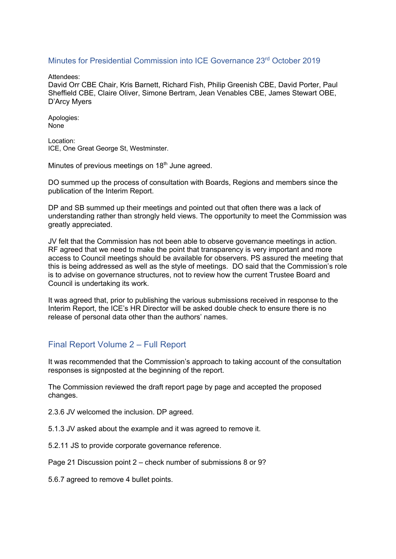## Minutes for Presidential Commission into ICE Governance 23rd October 2019

Attendees:

David Orr CBE Chair, Kris Barnett, Richard Fish, Philip Greenish CBE, David Porter, Paul Sheffield CBE, Claire Oliver, Simone Bertram, Jean Venables CBE, James Stewart OBE, D'Arcy Myers

Apologies: None

Location: ICE, One Great George St, Westminster.

Minutes of previous meetings on  $18<sup>th</sup>$  June agreed.

DO summed up the process of consultation with Boards, Regions and members since the publication of the Interim Report.

DP and SB summed up their meetings and pointed out that often there was a lack of understanding rather than strongly held views. The opportunity to meet the Commission was greatly appreciated.

JV felt that the Commission has not been able to observe governance meetings in action. RF agreed that we need to make the point that transparency is very important and more access to Council meetings should be available for observers. PS assured the meeting that this is being addressed as well as the style of meetings. DO said that the Commission's role is to advise on governance structures, not to review how the current Trustee Board and Council is undertaking its work.

It was agreed that, prior to publishing the various submissions received in response to the Interim Report, the ICE's HR Director will be asked double check to ensure there is no release of personal data other than the authors' names.

## Final Report Volume 2 – Full Report

It was recommended that the Commission's approach to taking account of the consultation responses is signposted at the beginning of the report.

The Commission reviewed the draft report page by page and accepted the proposed changes.

2.3.6 JV welcomed the inclusion. DP agreed.

5.1.3 JV asked about the example and it was agreed to remove it.

5.2.11 JS to provide corporate governance reference.

Page 21 Discussion point 2 – check number of submissions 8 or 9?

5.6.7 agreed to remove 4 bullet points.